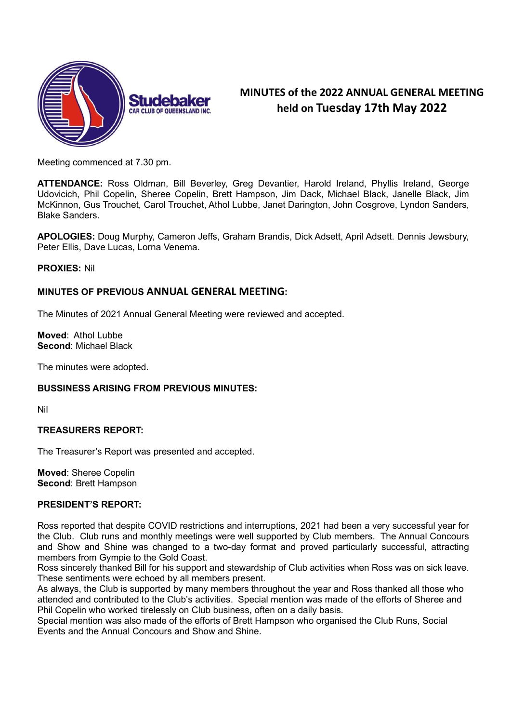

# MINUTES of the 2022 ANNUAL GENERAL MEETING held on Tuesday 17th May 2022

Meeting commenced at 7.30 pm.

ATTENDANCE: Ross Oldman, Bill Beverley, Greg Devantier, Harold Ireland, Phyllis Ireland, George Udovicich, Phil Copelin, Sheree Copelin, Brett Hampson, Jim Dack, Michael Black, Janelle Black, Jim McKinnon, Gus Trouchet, Carol Trouchet, Athol Lubbe, Janet Darington, John Cosgrove, Lyndon Sanders, Blake Sanders.

APOLOGIES: Doug Murphy, Cameron Jeffs, Graham Brandis, Dick Adsett, April Adsett. Dennis Jewsbury, Peter Ellis, Dave Lucas, Lorna Venema.

## PROXIES: Nil

## MINUTES OF PREVIOUS ANNUAL GENERAL MEETING:

The Minutes of 2021 Annual General Meeting were reviewed and accepted.

Moved: Athol Lubbe Second: Michael Black

The minutes were adopted.

## BUSSINESS ARISING FROM PREVIOUS MINUTES:

Nil

## TREASURERS REPORT:

The Treasurer's Report was presented and accepted.

Moved: Sheree Copelin Second: Brett Hampson

## PRESIDENT'S REPORT:

Ross reported that despite COVID restrictions and interruptions, 2021 had been a very successful year for the Club. Club runs and monthly meetings were well supported by Club members. The Annual Concours and Show and Shine was changed to a two-day format and proved particularly successful, attracting members from Gympie to the Gold Coast.

Ross sincerely thanked Bill for his support and stewardship of Club activities when Ross was on sick leave. These sentiments were echoed by all members present.

As always, the Club is supported by many members throughout the year and Ross thanked all those who attended and contributed to the Club's activities. Special mention was made of the efforts of Sheree and Phil Copelin who worked tirelessly on Club business, often on a daily basis.

Special mention was also made of the efforts of Brett Hampson who organised the Club Runs, Social Events and the Annual Concours and Show and Shine.